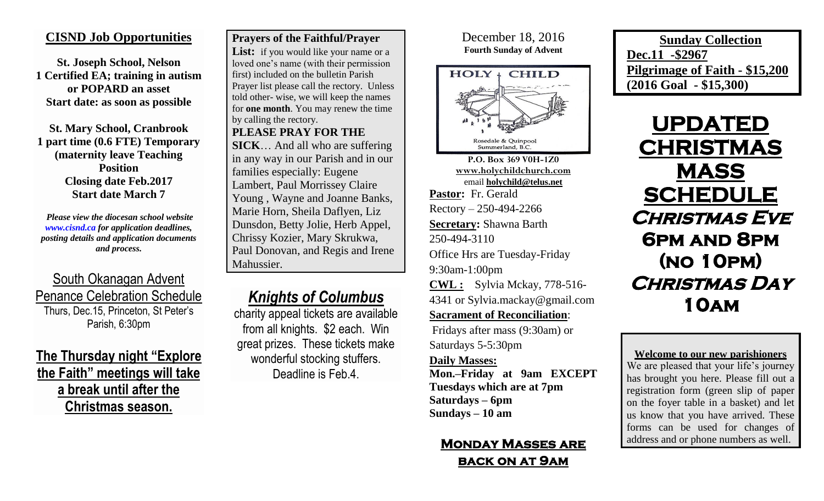### **CISND Job Opportunities**

**St. Joseph School, Nelson 1 Certified EA; training in autism or POPARD an asset Start date: as soon as possible**

**St. Mary School, Cranbrook 1 part time (0.6 FTE) Temporary (maternity leave Teaching Position Closing date Feb.2017 Start date March 7**

*Please view the diocesan school website [www.cisnd.ca](http://www.cisnd.ca/) for application deadlines, posting details and application documents and process.* 

South Okanagan Advent Penance Celebration Schedule Thurs, Dec.15, Princeton, St Peter's Parish, 6:30pm

**The Thursday night "Explore the Faith" meetings will take a break until after the Christmas season.**

### **Prayers of the Faithful/Prayer**

List: if you would like your name or a loved one's name (with their permission first) included on the bulletin Parish Prayer list please call the rectory. Unless told other- wise, we will keep the names for **one month**. You may renew the time by calling the rectory.

**PLEASE PRAY FOR THE** 

**SICK**… And all who are suffering in any way in our Parish and in our families especially: Eugene Lambert, Paul Morrissey Claire Young , Wayne and Joanne Banks, Marie Horn, Sheila Daflyen, Liz Dunsdon, Betty Jolie, Herb Appel, Chrissy Kozier, Mary Skrukwa, Paul Donovan, and Regis and Irene Mahussier.

## *Knights of Columbus*

charity appeal tickets are available from all knights. \$2 each. Win great prizes. These tickets make wonderful stocking stuffers. Deadline is Feb.4.

### December 18, 2016 **Fourth Sunday of Advent**



**P.O. Box 369 V0H-1Z0 [www.holychildchurch.com](http://www.holychildchurch.com/)** email **holychild@telus.net Pastor:** Fr. Gerald Rectory – 250-494-2266 **Secretary:** Shawna Barth 250-494-3110 Office Hrs are Tuesday-Friday 9:30am-1:00pm **CWL :** Sylvia Mckay, 778-516-

4341 or Sylvia.mackay@gmail.com

**Sacrament of Reconciliation**:

Fridays after mass (9:30am) or Saturdays 5-5:30pm

#### **Daily Masses:**

**Mon.–Friday at 9am EXCEPT Tuesdays which are at 7pm Saturdays – 6pm Sundays – 10 am**

## **Monday Masses are back on at 9am**

**Sunday Collection Dec.11 -\$2967 Pilgrimage of Faith - \$15,200 (2016 Goal - \$15,300)**

**UPDATED CHRISTMAS MASS SCHEDULE Christmas Eve 6pm and 8pm (no 10pm) Christmas Day 10am** 

**Welcome to our new parishioners** We are pleased that your life's journey has brought you here. Please fill out a registration form (green slip of paper on the foyer table in a basket) and let us know that you have arrived. These forms can be used for changes of address and or phone numbers as well.